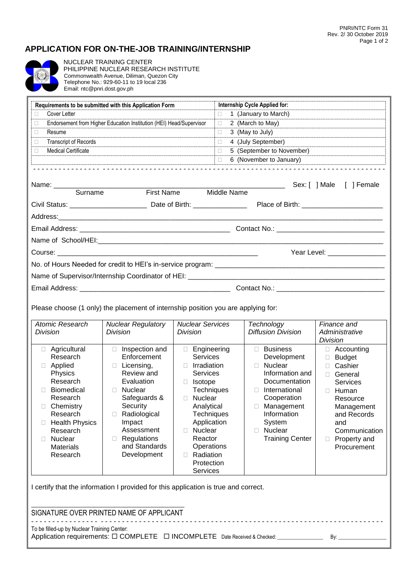## **APPLICATION FOR ON-THE-JOB TRAINING/INTERNSHIP**



 NUCLEAR TRAINING CENTER PHILIPPINE NUCLEAR RESEARCH INSTITUTE Commonwealth Avenue, Diliman, Quezon City Telephone No.: 929-60-11 to 19 local 236 Email: ntc@pnri.dost.gov.ph

| Requirements to be submitted with this Application Form |                                                                     | Internship Cycle Applied for:                                                                                                                                                                                                  |
|---------------------------------------------------------|---------------------------------------------------------------------|--------------------------------------------------------------------------------------------------------------------------------------------------------------------------------------------------------------------------------|
| Cover Letter<br>П                                       |                                                                     | $\Box$ 1 (January to March)                                                                                                                                                                                                    |
| П.                                                      | Endorsement from Higher Education Institution (HEI) Head/Supervisor | $\Box$ 2 (March to May)                                                                                                                                                                                                        |
| Resume<br>П.                                            |                                                                     | 3 (May to July)<br>$\Box$                                                                                                                                                                                                      |
| <b>Transcript of Records</b><br>П.                      |                                                                     | 4 (July September)<br>$\Box$                                                                                                                                                                                                   |
| <b>Medical Certificate</b><br>П.                        |                                                                     | 5 (September to November)<br>$\Box$                                                                                                                                                                                            |
|                                                         |                                                                     | 6 (November to January)<br>$\Box$                                                                                                                                                                                              |
| Surname                                                 | <b>First Name</b>                                                   | <b>Middle Name</b>                                                                                                                                                                                                             |
|                                                         |                                                                     |                                                                                                                                                                                                                                |
|                                                         |                                                                     |                                                                                                                                                                                                                                |
|                                                         |                                                                     |                                                                                                                                                                                                                                |
|                                                         |                                                                     |                                                                                                                                                                                                                                |
|                                                         |                                                                     |                                                                                                                                                                                                                                |
|                                                         |                                                                     | Year Level: The Contract of the Contract of the Contract of the Contract of the Contract of the Contract of the Contract of the Contract of the Contract of the Contract of the Contract of the Contract of the Contract of th |
|                                                         |                                                                     |                                                                                                                                                                                                                                |
|                                                         |                                                                     |                                                                                                                                                                                                                                |

Please choose (1 only) the placement of internship position you are applying for:

| Atomic Research<br>Division                                                                                                                                                                                                          | <b>Nuclear Regulatory</b><br>Division                                                                                                                                                                             | <b>Nuclear Services</b><br>Division                                                                                                                                                                                                         | Technology<br>Diffusion Division                                                                                                                                                                                                 | Finance and<br>Administrative<br>Division                                                                                                                                                             |
|--------------------------------------------------------------------------------------------------------------------------------------------------------------------------------------------------------------------------------------|-------------------------------------------------------------------------------------------------------------------------------------------------------------------------------------------------------------------|---------------------------------------------------------------------------------------------------------------------------------------------------------------------------------------------------------------------------------------------|----------------------------------------------------------------------------------------------------------------------------------------------------------------------------------------------------------------------------------|-------------------------------------------------------------------------------------------------------------------------------------------------------------------------------------------------------|
| Agricultural<br>Ш<br>Research<br>Applied<br>Physics<br>Research<br><b>Biomedical</b><br>П<br>Research<br>Chemistry<br>Ш<br>Research<br><b>Health Physics</b><br>Ш<br>Research<br><b>Nuclear</b><br>П<br><b>Materials</b><br>Research | Inspection and<br>Ш<br>Enforcement<br>Licensing,<br>Review and<br>Evaluation<br><b>Nuclear</b><br>Safeguards &<br>Security<br>Radiological<br>Impact<br>Assessment<br>Regulations<br>and Standards<br>Development | Engineering<br>$\Box$<br>Services<br>Irradiation<br>Services<br><b>Isotope</b><br>Techniques<br><b>Nuclear</b><br>Analytical<br>Techniques<br>Application<br><b>Nuclear</b><br>Reactor<br>Operations<br>Radiation<br>Protection<br>Services | <b>Business</b><br>П<br>Development<br><b>Nuclear</b><br>П<br>Information and<br>Documentation<br>International<br>п<br>Cooperation<br>Management<br>П<br>Information<br>System<br><b>Nuclear</b><br>П<br><b>Training Center</b> | Accounting<br>Ш<br><b>Budget</b><br>П<br>Cashier<br>General<br>П.<br>Services<br>Human<br>$\Box$<br>Resource<br>Management<br>and Records<br>and<br>Communication<br>Property and<br>П<br>Procurement |

I certify that the information I provided for this application is true and correct.

| SIGNATURE OVER PRINTED NAME OF APPLICANT                                                                                            |     |
|-------------------------------------------------------------------------------------------------------------------------------------|-----|
| To be filled-up by Nuclear Training Center:<br>Application requirements: $\Box$ COMPLETE $\Box$ INCOMPLETE Date Received & Checked: | Bv: |